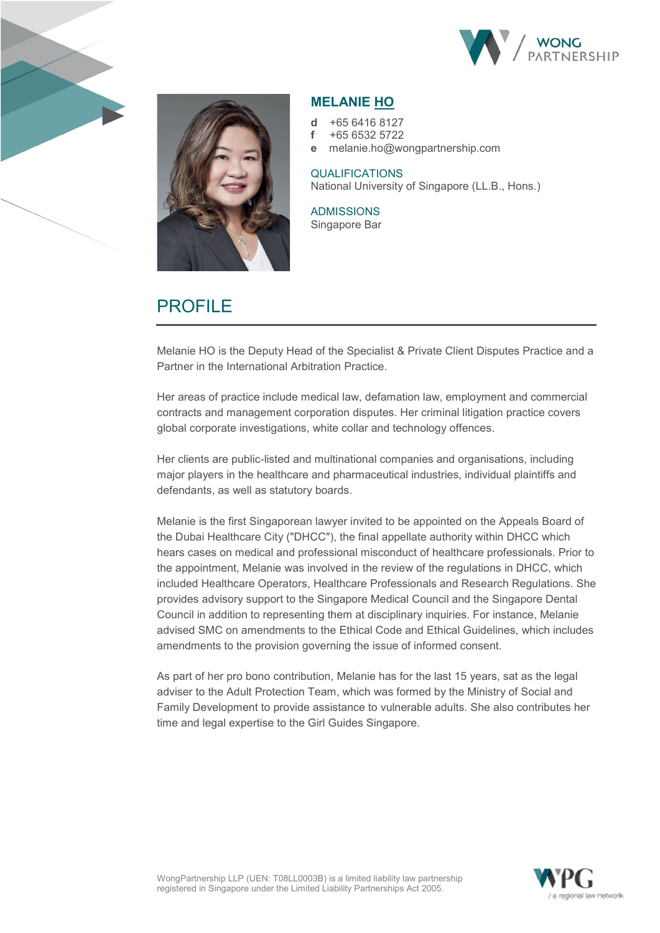



# **MELANIE HO**

- **d** +65 6416 8127
- **f** +65 6532 5722
- **e** melanie.ho@wongpartnership.com

#### QUALIFICATIONS National University of Singapore (LL.B., Hons.)

ADMISSIONS Singapore Bar

# PROFILE

Melanie HO is the Deputy Head of the Specialist & Private Client Disputes Practice and a Partner in the International Arbitration Practice.

Her areas of practice include medical law, defamation law, employment and commercial contracts and management corporation disputes. Her criminal litigation practice covers global corporate investigations, white collar and technology offences.

Her clients are public-listed and multinational companies and organisations, including major players in the healthcare and pharmaceutical industries, individual plaintiffs and defendants, as well as statutory boards.

Melanie is the first Singaporean lawyer invited to be appointed on the Appeals Board of the Dubai Healthcare City ("DHCC"), the final appellate authority within DHCC which hears cases on medical and professional misconduct of healthcare professionals. Prior to the appointment, Melanie was involved in the review of the regulations in DHCC, which included Healthcare Operators, Healthcare Professionals and Research Regulations. She provides advisory support to the Singapore Medical Council and the Singapore Dental Council in addition to representing them at disciplinary inquiries. For instance, Melanie advised SMC on amendments to the Ethical Code and Ethical Guidelines, which includes amendments to the provision governing the issue of informed consent.

As part of her pro bono contribution, Melanie has for the last 15 years, sat as the legal adviser to the Adult Protection Team, which was formed by the Ministry of Social and Family Development to provide assistance to vulnerable adults. She also contributes her time and legal expertise to the Girl Guides Singapore.

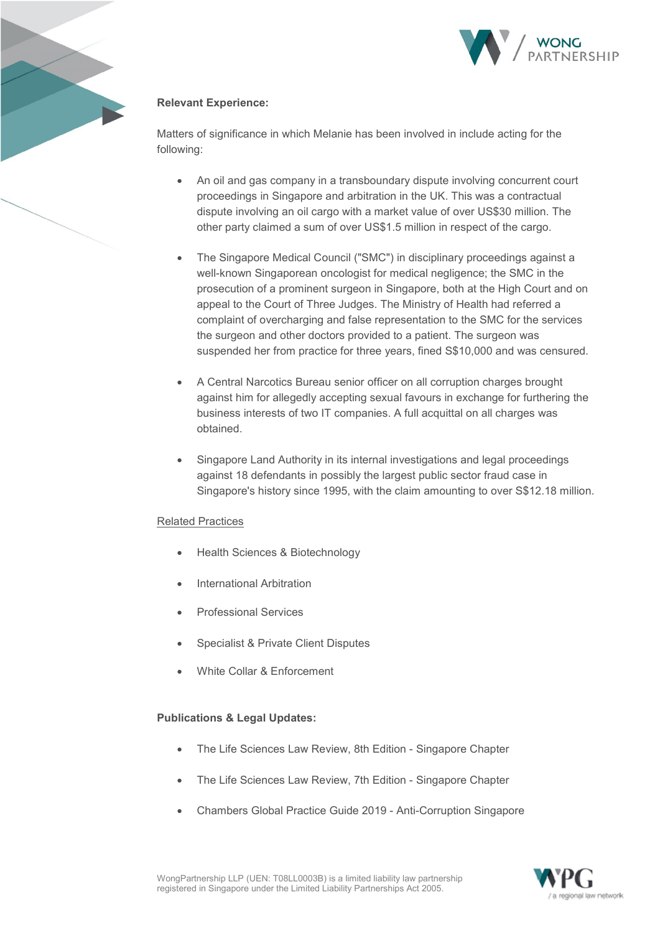

# **Relevant Experience:**

Matters of significance in which Melanie has been involved in include acting for the following:

- An oil and gas company in a transboundary dispute involving concurrent court proceedings in Singapore and arbitration in the UK. This was a contractual dispute involving an oil cargo with a market value of over US\$30 million. The other party claimed a sum of over US\$1.5 million in respect of the cargo.
- The Singapore Medical Council ("SMC") in disciplinary proceedings against a well-known Singaporean oncologist for medical negligence; the SMC in the prosecution of a prominent surgeon in Singapore, both at the High Court and on appeal to the Court of Three Judges. The Ministry of Health had referred a complaint of overcharging and false representation to the SMC for the services the surgeon and other doctors provided to a patient. The surgeon was suspended her from practice for three years, fined S\$10,000 and was censured.
- A Central Narcotics Bureau senior officer on all corruption charges brought against him for allegedly accepting sexual favours in exchange for furthering the business interests of two IT companies. A full acquittal on all charges was obtained.
- Singapore Land Authority in its internal investigations and legal proceedings against 18 defendants in possibly the largest public sector fraud case in Singapore's history since 1995, with the claim amounting to over S\$12.18 million.

## Related Practices

- Health Sciences & Biotechnology
- International Arbitration
- Professional Services
- Specialist & Private Client Disputes
- White Collar & Enforcement

## **Publications & Legal Updates:**

- The Life Sciences Law Review, 8th Edition Singapore Chapter
- The Life Sciences Law Review, 7th Edition Singapore Chapter
- Chambers Global Practice Guide 2019 Anti-Corruption Singapore